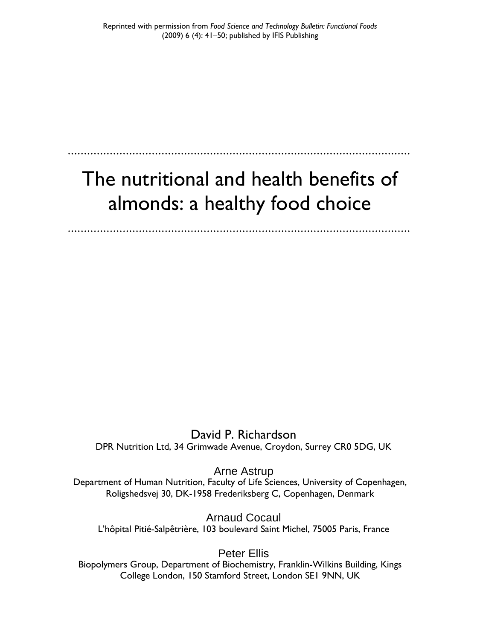# The nutritional and health benefits of almonds: a healthy food choice

David P. Richardson DPR Nutrition Ltd, 34 Grimwade Avenue, Croydon, Surrey CR0 5DG, UK

Arne Astrup Department of Human Nutrition, Faculty of Life Sciences, University of Copenhagen, Roligshedsvej 30, DK-1958 Frederiksberg C, Copenhagen, Denmark

Arnaud Cocaul L'hôpital Pitié-Salpêtrière, 103 boulevard Saint Michel, 75005 Paris, France

Peter Ellis

Biopolymers Group, Department of Biochemistry, Franklin-Wilkins Building, Kings College London, 150 Stamford Street, London SE1 9NN, UK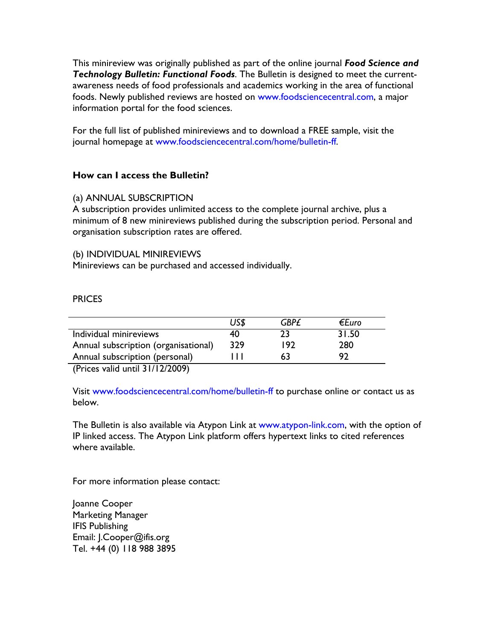This minireview was originally published as part of the online journal *Food Science and Technology Bulletin: Functional Foods*. The Bulletin is designed to meet the currentawareness needs of food professionals and academics working in the area of functional foods. Newly published reviews are hosted on www.foodsciencecentral.com, a major information portal for the food sciences.

For the full list of published minireviews and to download a FREE sample, visit the journal homepage at www.foodsciencecentral.com/home/bulletin-ff.

# **How can I access the Bulletin?**

# (a) ANNUAL SUBSCRIPTION

A subscription provides unlimited access to the complete journal archive, plus a minimum of 8 new minireviews published during the subscription period. Personal and organisation subscription rates are offered.

# (b) INDIVIDUAL MINIREVIEWS

Minireviews can be purchased and accessed individually.

# **PRICES**

|                                      | US\$ | <b>GBP£</b> | €Euro |  |
|--------------------------------------|------|-------------|-------|--|
| Individual minireviews               | 40   | つろ          | 31.50 |  |
| Annual subscription (organisational) | 329  | 192         | 280   |  |
| Annual subscription (personal)       |      |             | ຊາ    |  |
| (Dricos valid unit 21/12/2009)       |      |             |       |  |

(Prices valid until 31/12/2009)

Visit www.foodsciencecentral.com/home/bulletin-ff to purchase online or contact us as below.

The Bulletin is also available via Atypon Link at www.atypon-link.com, with the option of IP linked access. The Atypon Link platform offers hypertext links to cited references where available.

For more information please contact:

Joanne Cooper Marketing Manager IFIS Publishing Email: J.Cooper@ifis.org Tel. +44 (0) 118 988 3895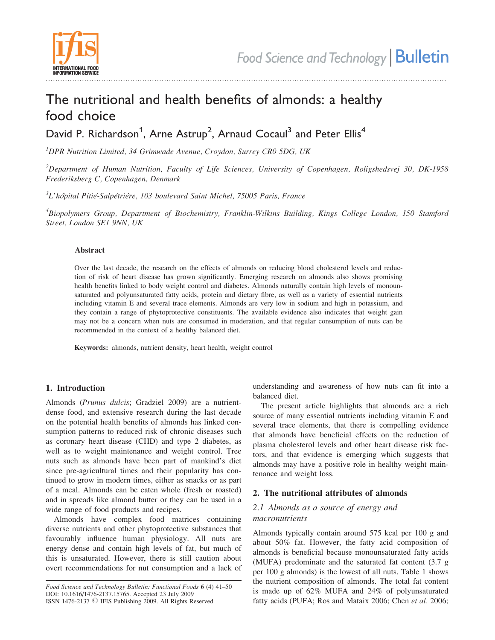

#### ......................................................................................................................................................................

# The nutritional and health benefits of almonds: a healthy food choice

David P. Richardson<sup>1</sup>, Arne Astrup<sup>2</sup>, Arnaud Cocaul<sup>3</sup> and Peter Ellis<sup>4</sup>

<sup>1</sup>DPR Nutrition Limited, 34 Grimwade Avenue, Croydon, Surrey CR0 5DG, UK

 $^{2}$ Department of Human Nutrition, Faculty of Life Sciences, University of Copenhagen, Roligshedsvej 30, DK-1958 Frederiksberg C, Copenhagen, Denmark

 ${}^{3}L$ 'hôpital Pitié-Salpêtrière, 103 boulevard Saint Michel, 75005 Paris, France

<sup>4</sup>Biopolymers Group, Department of Biochemistry, Franklin-Wilkins Building, Kings College London, 150 Stamford Street, London SE1 9NN, UK

#### Abstract

Over the last decade, the research on the effects of almonds on reducing blood cholesterol levels and reduction of risk of heart disease has grown significantly. Emerging research on almonds also shows promising health benefits linked to body weight control and diabetes. Almonds naturally contain high levels of monounsaturated and polyunsaturated fatty acids, protein and dietary fibre, as well as a variety of essential nutrients including vitamin E and several trace elements. Almonds are very low in sodium and high in potassium, and they contain a range of phytoprotective constituents. The available evidence also indicates that weight gain may not be a concern when nuts are consumed in moderation, and that regular consumption of nuts can be recommended in the context of a healthy balanced diet.

Keywords: almonds, nutrient density, heart health, weight control

#### 1. Introduction

Almonds (Prunus dulcis; Gradziel 2009) are a nutrientdense food, and extensive research during the last decade on the potential health benefits of almonds has linked consumption patterns to reduced risk of chronic diseases such as coronary heart disease (CHD) and type 2 diabetes, as well as to weight maintenance and weight control. Tree nuts such as almonds have been part of mankind's diet since pre-agricultural times and their popularity has continued to grow in modern times, either as snacks or as part of a meal. Almonds can be eaten whole (fresh or roasted) and in spreads like almond butter or they can be used in a wide range of food products and recipes.

Almonds have complex food matrices containing diverse nutrients and other phytoprotective substances that favourably influence human physiology. All nuts are energy dense and contain high levels of fat, but much of this is unsaturated. However, there is still caution about overt recommendations for nut consumption and a lack of understanding and awareness of how nuts can fit into a balanced diet.

The present article highlights that almonds are a rich source of many essential nutrients including vitamin E and several trace elements, that there is compelling evidence that almonds have beneficial effects on the reduction of plasma cholesterol levels and other heart disease risk factors, and that evidence is emerging which suggests that almonds may have a positive role in healthy weight maintenance and weight loss.

## 2. The nutritional attributes of almonds

### 2.1 Almonds as a source of energy and macronutrients

Almonds typically contain around 575 kcal per 100 g and about 50% fat. However, the fatty acid composition of almonds is beneficial because monounsaturated fatty acids (MUFA) predominate and the saturated fat content (3.7 g per 100 g almonds) is the lowest of all nuts. Table 1 shows the nutrient composition of almonds. The total fat content is made up of 62% MUFA and 24% of polyunsaturated fatty acids (PUFA; Ros and Mataix 2006; Chen et al. 2006;

Food Science and Technology Bulletin: Functional Foods 6 (4) 41–50 DOI: 10.1616/1476-2137.15765. Accepted 23 July 2009 ISSN 1476-2137 © IFIS Publishing 2009. All Rights Reserved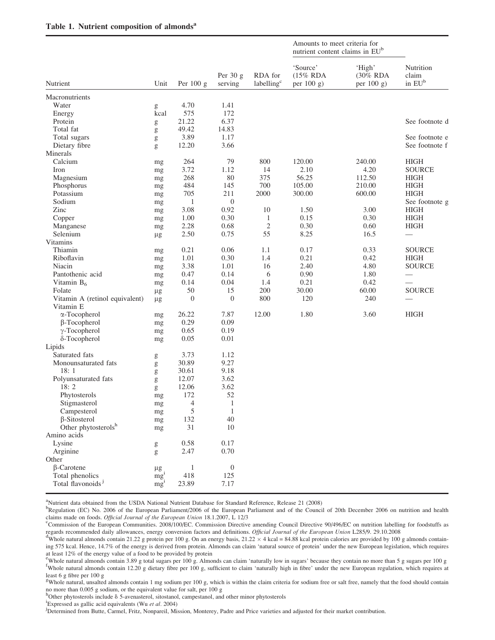|                                    | Unit               | Per $100 g$      | Per $30 g$<br>serving | RDA for<br>labelling <sup>c</sup> | Amounts to meet criteria for<br>nutrient content claims in EU <sup>b</sup> |                                     |                                                   |
|------------------------------------|--------------------|------------------|-----------------------|-----------------------------------|----------------------------------------------------------------------------|-------------------------------------|---------------------------------------------------|
| Nutrient                           |                    |                  |                       |                                   | 'Source'<br>(15% RDA<br>per 100 g)                                         | 'High'<br>$(30\%$ RDA<br>per 100 g) | Nutrition<br>claim<br>in $\mathrm{EU}^\mathrm{b}$ |
| Macronutrients                     |                    |                  |                       |                                   |                                                                            |                                     |                                                   |
| Water                              | g                  | 4.70             | 1.41                  |                                   |                                                                            |                                     |                                                   |
| Energy                             | kcal               | 575              | 172                   |                                   |                                                                            |                                     |                                                   |
| Protein                            | g                  | 21.22            | 6.37                  |                                   |                                                                            |                                     | See footnote d                                    |
| Total fat                          | g                  | 49.42            | 14.83                 |                                   |                                                                            |                                     |                                                   |
| Total sugars                       | g                  | 3.89             | 1.17                  |                                   |                                                                            |                                     | See footnote e                                    |
| Dietary fibre                      | g                  | 12.20            | 3.66                  |                                   |                                                                            |                                     | See footnote f                                    |
| Minerals                           |                    |                  |                       |                                   |                                                                            |                                     |                                                   |
| Calcium                            | mg                 | 264              | 79                    | 800                               | 120.00                                                                     | 240.00                              | HIGH                                              |
| Iron                               | mg                 | 3.72             | 1.12                  | 14                                | 2.10                                                                       | 4.20                                | <b>SOURCE</b>                                     |
| Magnesium                          | mg                 | 268              | 80                    | 375                               | 56.25                                                                      | 112.50                              | <b>HIGH</b>                                       |
| Phosphorus                         | mg                 | 484              | 145                   | 700                               | 105.00                                                                     | 210.00                              | <b>HIGH</b>                                       |
| Potassium                          | mg                 | 705              | 211                   | 2000                              | 300.00                                                                     | 600.00                              | <b>HIGH</b>                                       |
| Sodium                             | mg                 | 1                | $\boldsymbol{0}$      |                                   |                                                                            |                                     | See footnote g                                    |
| Zinc                               | mg                 | 3.08             | 0.92                  | 10                                | 1.50                                                                       | 3.00                                | <b>HIGH</b>                                       |
| Copper                             | mg                 | 1.00             | 0.30                  | 1                                 | 0.15                                                                       | 0.30                                | <b>HIGH</b>                                       |
| Manganese                          | mg                 | 2.28             | 0.68                  | $\mathfrak{2}$                    | 0.30                                                                       | 0.60                                | <b>HIGH</b>                                       |
| Selenium                           | $\mu$ g            | 2.50             | 0.75                  | 55                                | 8.25                                                                       | 16.5                                |                                                   |
| Vitamins                           |                    |                  |                       |                                   |                                                                            |                                     |                                                   |
| Thiamin                            | mg                 | 0.21             | 0.06                  | 1.1                               | 0.17                                                                       | 0.33                                | <b>SOURCE</b>                                     |
| Riboflavin                         | mg                 | 1.01             | 0.30                  | 1.4                               | 0.21                                                                       | 0.42                                | <b>HIGH</b>                                       |
| Niacin                             | mg                 | 3.38             | 1.01                  | 16                                | 2.40                                                                       | 4.80                                | <b>SOURCE</b>                                     |
| Pantothenic acid                   | mg                 | 0.47             | 0.14                  | 6                                 | 0.90                                                                       | 1.80                                |                                                   |
| Vitamin $B_6$                      | mg                 | 0.14             | 0.04                  | 1.4                               | 0.21                                                                       | 0.42                                |                                                   |
| Folate                             |                    | 50               | 15                    | 200                               | 30.00                                                                      | 60.00                               | <b>SOURCE</b>                                     |
| Vitamin A (retinol equivalent)     | $\mu g$<br>$\mu$ g | $\boldsymbol{0}$ | $\boldsymbol{0}$      | 800                               | 120                                                                        | 240                                 |                                                   |
| Vitamin E                          |                    |                  |                       |                                   |                                                                            |                                     |                                                   |
| α-Tocopherol                       | mg                 | 26.22            | 7.87                  | 12.00                             | 1.80                                                                       | 3.60                                | <b>HIGH</b>                                       |
| $\beta$ -Tocopherol                |                    | 0.29             | 0.09                  |                                   |                                                                            |                                     |                                                   |
| $\gamma$ -Tocopherol               | mg<br>mg           | 0.65             | 0.19                  |                                   |                                                                            |                                     |                                                   |
| δ-Tocopherol                       |                    | 0.05             | 0.01                  |                                   |                                                                            |                                     |                                                   |
| Lipids                             | mg                 |                  |                       |                                   |                                                                            |                                     |                                                   |
| Saturated fats                     |                    | 3.73             | 1.12                  |                                   |                                                                            |                                     |                                                   |
| Monounsaturated fats               | g                  | 30.89            | 9.27                  |                                   |                                                                            |                                     |                                                   |
| 18:1                               | g                  | 30.61            | 9.18                  |                                   |                                                                            |                                     |                                                   |
| Polyunsaturated fats               | g                  | 12.07            | 3.62                  |                                   |                                                                            |                                     |                                                   |
| 18:2                               | g                  | 12.06            | 3.62                  |                                   |                                                                            |                                     |                                                   |
| Phytosterols                       | g                  | 172              | 52                    |                                   |                                                                            |                                     |                                                   |
| Stigmasterol                       | mg                 |                  | 1                     |                                   |                                                                            |                                     |                                                   |
|                                    | mg                 | 4<br>5           | $\mathbf{1}$          |                                   |                                                                            |                                     |                                                   |
| Campesterol<br>$\beta$ -Sitosterol | mg                 | 132              | 40                    |                                   |                                                                            |                                     |                                                   |
| Other phytosterolsh                | mg                 | 31               | 10                    |                                   |                                                                            |                                     |                                                   |
|                                    | mg                 |                  |                       |                                   |                                                                            |                                     |                                                   |
| Amino acids                        |                    |                  |                       |                                   |                                                                            |                                     |                                                   |
| Lysine                             | g                  | 0.58             | 0.17                  |                                   |                                                                            |                                     |                                                   |
| Arginine                           | g                  | 2.47             | 0.70                  |                                   |                                                                            |                                     |                                                   |
| Other                              |                    |                  |                       |                                   |                                                                            |                                     |                                                   |
| $\beta$ -Carotene                  | $\mu\mathrm{g}$    | 1                | $\boldsymbol{0}$      |                                   |                                                                            |                                     |                                                   |
| Total phenolics                    | mg <sup>i</sup>    | 418              | 125                   |                                   |                                                                            |                                     |                                                   |
| Total flavonoids <sup>j</sup>      | mg <sup>1</sup>    | 23.89            | 7.17                  |                                   |                                                                            |                                     |                                                   |

<sup>a</sup>Nutrient data obtained from the USDA National Nutrient Database for Standard Reference, Release 21 (2008)

<sup>b</sup>Regulation (EC) No. 2006 of the European Parliament/2006 of the European Parliament and of the Council of 20th December 2006 on nutrition and health claims made on foods. Official Journal of the European Union 18.1.2007, L 12/3

Commission of the European Communities. 2008/100/EC. Commission Directive amending Council Directive 90/496/EC on nutrition labelling for foodstuffs as regards recommended daily allowances, energy conversion factors and definitions. Official Journal of the European Union L285/9. 29.10.2008

hOther phytosterols include  $\delta$  5-avenasterol, sitostanol, campestanol, and other minor phytosterols include  $\delta$  5-avenasterol, sitostanol, campestanol, and other minor phytosterols

Whole natural almonds contain 21.22 g protein per 100 g. On an energy basis,  $21.22 \times 4$  kcal = 84.88 kcal protein calories are provided by 100 g almonds containing 575 kcal. Hence, 14.7% of the energy is derived from protein. Almonds can claim 'natural source of protein' under the new European legislation, which requires at least 12% of the energy value of a food to be provided by protein

e Whole natural almonds contain 3.89 g total sugars per 100 g. Almonds can claim 'naturally low in sugars' because they contain no more than 5 g sugars per 100 g <sup>f</sup>Whole natural almonds contain 12.20 g dietary fibre per 100 g, sufficient to claim 'naturally high in fibre' under the new European regulation, which requires at least 6 g fibre per 100 g

 $g_{\text{whole}}$  atural, unsalted almonds contain 1 mg sodium per 100 g, which is within the claim criteria for sodium free or salt free, namely that the food should contain no more than 0.005 g sodium, or the equivalent value for salt, per 100 g

Expressed as gallic acid equivalents (Wu et al. 2004)

<sup>)&</sup>lt;br>Determined from Butte, Carmel, Fritz, Nonpareil, Mission, Monterey, Padre and Price varieties and adjusted for their market contribution.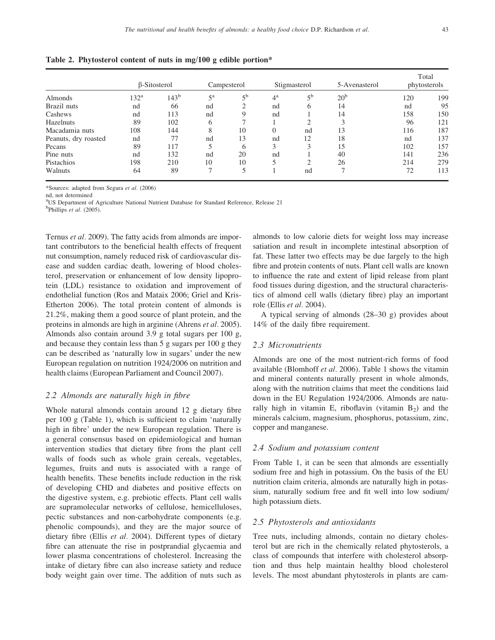| <b>Almonds</b>       | β-Sitosterol     |           | Campesterol |                | Stigmasterol |                | 5-Avenasterol     | Total<br>phytosterols |     |
|----------------------|------------------|-----------|-------------|----------------|--------------|----------------|-------------------|-----------------------|-----|
|                      | 132 <sup>a</sup> | $143^{b}$ | $5^{\rm a}$ | 5 <sup>b</sup> | $4^{\rm a}$  | 5 <sup>b</sup> | 20 <sup>b</sup>   | 120                   | 199 |
| Brazil nuts          | nd               | 66        | nd          |                | nd           | h              | 14                | nd                    | 95  |
| Cashews              | nd               | 113       | nd          |                | nd           |                | 14                | 158                   | 150 |
| Hazelnuts            | 89               | 102       | 6           |                |              | ◠              | $\mathbf{\Omega}$ | 96                    | 121 |
| Macadamia nuts       | 108              | 144       | 8           | 10             | $\Omega$     | nd             | 13                | 116                   | 187 |
| Peanuts, dry roasted | nd               | 77        | nd          | 13             | nd           | 12             | 18                | nd                    | 137 |
| Pecans               | 89               | 117       | 5           | 6              | 3            | 3              | 15                | 102                   | 157 |
| Pine nuts            | nd               | 132       | nd          | 20             | nd           |                | 40                | 141                   | 236 |
| Pistachios           | 198              | 210       | 10          | 10             |              | ◠              | 26                | 214                   | 279 |
| Walnuts              | 64               | 89        | ⇁           | 5              |              | nd             |                   | 72                    | 113 |

Table 2. Phytosterol content of nuts in mg/100 g edible portion\*

\*Sources: adapted from Segura et al. (2006)

nd, not determined

<sup>a</sup>US Department of Agriculture National Nutrient Database for Standard Reference, Release 21

 $<sup>b</sup>$ Phillips *et al.* (2005).</sup>

Ternus et al. 2009). The fatty acids from almonds are important contributors to the beneficial health effects of frequent nut consumption, namely reduced risk of cardiovascular disease and sudden cardiac death, lowering of blood cholesterol, preservation or enhancement of low density lipoprotein (LDL) resistance to oxidation and improvement of endothelial function (Ros and Mataix 2006; Griel and Kris-Etherton 2006). The total protein content of almonds is 21.2%, making them a good source of plant protein, and the proteins in almonds are high in arginine (Ahrens et al. 2005). Almonds also contain around 3.9 g total sugars per 100 g, and because they contain less than 5 g sugars per 100 g they can be described as 'naturally low in sugars' under the new European regulation on nutrition 1924/2006 on nutrition and health claims (European Parliament and Council 2007).

#### 2.2 Almonds are naturally high in fibre

Whole natural almonds contain around 12 g dietary fibre per 100 g (Table 1), which is sufficient to claim 'naturally high in fibre' under the new European regulation. There is a general consensus based on epidemiological and human intervention studies that dietary fibre from the plant cell walls of foods such as whole grain cereals, vegetables, legumes, fruits and nuts is associated with a range of health benefits. These benefits include reduction in the risk of developing CHD and diabetes and positive effects on the digestive system, e.g. prebiotic effects. Plant cell walls are supramolecular networks of cellulose, hemicelluloses, pectic substances and non-carbohydrate components (e.g. phenolic compounds), and they are the major source of dietary fibre (Ellis et al. 2004). Different types of dietary fibre can attenuate the rise in postprandial glycaemia and lower plasma concentrations of cholesterol. Increasing the intake of dietary fibre can also increase satiety and reduce body weight gain over time. The addition of nuts such as

almonds to low calorie diets for weight loss may increase satiation and result in incomplete intestinal absorption of fat. These latter two effects may be due largely to the high fibre and protein contents of nuts. Plant cell walls are known to influence the rate and extent of lipid release from plant food tissues during digestion, and the structural characteristics of almond cell walls (dietary fibre) play an important role (Ellis et al. 2004).

A typical serving of almonds (28–30 g) provides about 14% of the daily fibre requirement.

#### 2.3 Micronutrients

Almonds are one of the most nutrient-rich forms of food available (Blomhoff et al. 2006). Table 1 shows the vitamin and mineral contents naturally present in whole almonds, along with the nutrition claims that meet the conditions laid down in the EU Regulation 1924/2006. Almonds are naturally high in vitamin E, riboflavin (vitamin  $B_2$ ) and the minerals calcium, magnesium, phosphorus, potassium, zinc, copper and manganese.

#### 2.4 Sodium and potassium content

From Table 1, it can be seen that almonds are essentially sodium free and high in potassium. On the basis of the EU nutrition claim criteria, almonds are naturally high in potassium, naturally sodium free and fit well into low sodium/ high potassium diets.

#### 2.5 Phytosterols and antioxidants

Tree nuts, including almonds, contain no dietary cholesterol but are rich in the chemically related phytosterols, a class of compounds that interfere with cholesterol absorption and thus help maintain healthy blood cholesterol levels. The most abundant phytosterols in plants are cam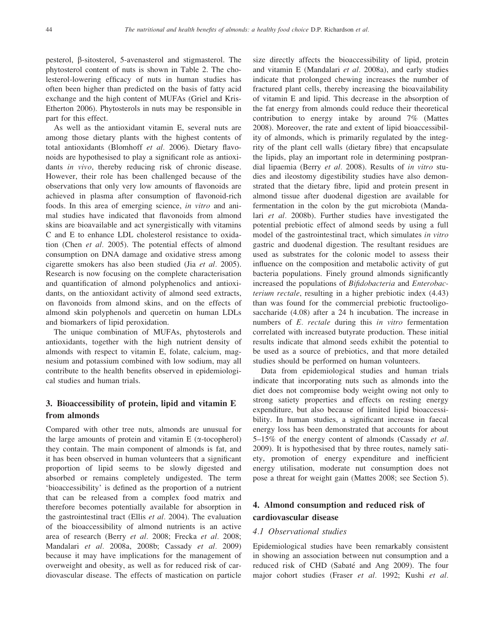pesterol, b-sitosterol, 5-avenasterol and stigmasterol. The phytosterol content of nuts is shown in Table 2. The cholesterol-lowering efficacy of nuts in human studies has often been higher than predicted on the basis of fatty acid exchange and the high content of MUFAs (Griel and Kris-Etherton 2006). Phytosterols in nuts may be responsible in part for this effect.

As well as the antioxidant vitamin E, several nuts are among those dietary plants with the highest contents of total antioxidants (Blomhoff et al. 2006). Dietary flavonoids are hypothesised to play a significant role as antioxidants in vivo, thereby reducing risk of chronic disease. However, their role has been challenged because of the observations that only very low amounts of flavonoids are achieved in plasma after consumption of flavonoid-rich foods. In this area of emerging science, in vitro and animal studies have indicated that flavonoids from almond skins are bioavailable and act synergistically with vitamins C and E to enhance LDL cholesterol resistance to oxidation (Chen et al. 2005). The potential effects of almond consumption on DNA damage and oxidative stress among cigarette smokers has also been studied (Jia et al. 2005). Research is now focusing on the complete characterisation and quantification of almond polyphenolics and antioxidants, on the antioxidant activity of almond seed extracts, on flavonoids from almond skins, and on the effects of almond skin polyphenols and quercetin on human LDLs and biomarkers of lipid peroxidation.

The unique combination of MUFAs, phytosterols and antioxidants, together with the high nutrient density of almonds with respect to vitamin E, folate, calcium, magnesium and potassium combined with low sodium, may all contribute to the health benefits observed in epidemiological studies and human trials.

# 3. Bioaccessibility of protein, lipid and vitamin E from almonds

Compared with other tree nuts, almonds are unusual for the large amounts of protein and vitamin  $E$  ( $\alpha$ -tocopherol) they contain. The main component of almonds is fat, and it has been observed in human volunteers that a significant proportion of lipid seems to be slowly digested and absorbed or remains completely undigested. The term 'bioaccessibility' is defined as the proportion of a nutrient that can be released from a complex food matrix and therefore becomes potentially available for absorption in the gastrointestinal tract (Ellis et al. 2004). The evaluation of the bioaccessibility of almond nutrients is an active area of research (Berry et al. 2008; Frecka et al. 2008; Mandalari et al. 2008a, 2008b; Cassady et al. 2009) because it may have implications for the management of overweight and obesity, as well as for reduced risk of cardiovascular disease. The effects of mastication on particle

size directly affects the bioaccessibility of lipid, protein and vitamin E (Mandalari et al. 2008a), and early studies indicate that prolonged chewing increases the number of fractured plant cells, thereby increasing the bioavailability of vitamin E and lipid. This decrease in the absorption of the fat energy from almonds could reduce their theoretical contribution to energy intake by around 7% (Mattes 2008). Moreover, the rate and extent of lipid bioaccessibility of almonds, which is primarily regulated by the integrity of the plant cell walls (dietary fibre) that encapsulate the lipids, play an important role in determining postprandial lipaemia (Berry et al. 2008). Results of in vitro studies and ileostomy digestibility studies have also demonstrated that the dietary fibre, lipid and protein present in almond tissue after duodenal digestion are available for fermentation in the colon by the gut microbiota (Mandalari et al. 2008b). Further studies have investigated the potential prebiotic effect of almond seeds by using a full model of the gastrointestinal tract, which simulates in vitro gastric and duodenal digestion. The resultant residues are used as substrates for the colonic model to assess their influence on the composition and metabolic activity of gut bacteria populations. Finely ground almonds significantly increased the populations of Bifidobacteria and Enterobacterium rectale, resulting in a higher prebiotic index (4.43) than was found for the commercial prebiotic fructooligosaccharide (4.08) after a 24 h incubation. The increase in numbers of E. rectale during this in vitro fermentation correlated with increased butyrate production. These initial results indicate that almond seeds exhibit the potential to be used as a source of prebiotics, and that more detailed studies should be performed on human volunteers.

Data from epidemiological studies and human trials indicate that incorporating nuts such as almonds into the diet does not compromise body weight owing not only to strong satiety properties and effects on resting energy expenditure, but also because of limited lipid bioaccessibility. In human studies, a significant increase in faecal energy loss has been demonstrated that accounts for about 5–15% of the energy content of almonds (Cassady et al. 2009). It is hypothesised that by three routes, namely satiety, promotion of energy expenditure and inefficient energy utilisation, moderate nut consumption does not pose a threat for weight gain (Mattes 2008; see Section 5).

# 4. Almond consumption and reduced risk of cardiovascular disease

#### 4.1 Observational studies

Epidemiological studies have been remarkably consistent in showing an association between nut consumption and a reduced risk of CHD (Sabaté and Ang 2009). The four major cohort studies (Fraser et al. 1992; Kushi et al.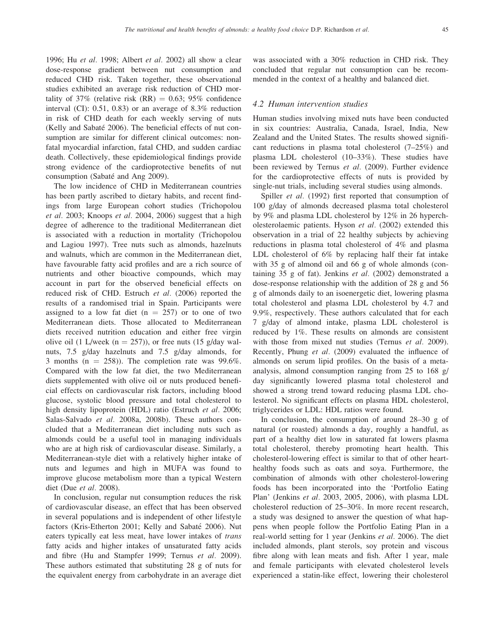1996; Hu et al. 1998; Albert et al. 2002) all show a clear dose-response gradient between nut consumption and reduced CHD risk. Taken together, these observational studies exhibited an average risk reduction of CHD mortality of 37% (relative risk  $(RR) = 0.63$ ; 95% confidence interval (CI): 0.51, 0.83) or an average of 8.3% reduction in risk of CHD death for each weekly serving of nuts (Kelly and Sabaté 2006). The beneficial effects of nut consumption are similar for different clinical outcomes: nonfatal myocardial infarction, fatal CHD, and sudden cardiac death. Collectively, these epidemiological findings provide strong evidence of the cardioprotective benefits of nut consumption (Sabaté and Ang 2009).

The low incidence of CHD in Mediterranean countries has been partly ascribed to dietary habits, and recent findings from large European cohort studies (Trichopolou et al. 2003; Knoops et al. 2004, 2006) suggest that a high degree of adherence to the traditional Mediterranean diet is associated with a reduction in mortality (Trichopolou and Lagiou 1997). Tree nuts such as almonds, hazelnuts and walnuts, which are common in the Mediterranean diet, have favourable fatty acid profiles and are a rich source of nutrients and other bioactive compounds, which may account in part for the observed beneficial effects on reduced risk of CHD. Estruch et al. (2006) reported the results of a randomised trial in Spain. Participants were assigned to a low fat diet ( $n = 257$ ) or to one of two Mediterranean diets. Those allocated to Mediterranean diets received nutrition education and either free virgin olive oil (1 L/week ( $n = 257$ )), or free nuts (15 g/day walnuts, 7.5 g/day hazelnuts and 7.5 g/day almonds, for 3 months ( $n = 258$ )). The completion rate was 99.6%. Compared with the low fat diet, the two Mediterranean diets supplemented with olive oil or nuts produced beneficial effects on cardiovascular risk factors, including blood glucose, systolic blood pressure and total cholesterol to high density lipoprotein (HDL) ratio (Estruch et al. 2006; Salas-Salvado et al. 2008a, 2008b). These authors concluded that a Mediterranean diet including nuts such as almonds could be a useful tool in managing individuals who are at high risk of cardiovascular disease. Similarly, a Mediterranean-style diet with a relatively higher intake of nuts and legumes and high in MUFA was found to improve glucose metabolism more than a typical Western diet (Due et al. 2008).

In conclusion, regular nut consumption reduces the risk of cardiovascular disease, an effect that has been observed in several populations and is independent of other lifestyle factors (Kris-Etherton 2001; Kelly and Sabaté 2006). Nut eaters typically eat less meat, have lower intakes of trans fatty acids and higher intakes of unsaturated fatty acids and fibre (Hu and Stampfer 1999; Ternus et al. 2009). These authors estimated that substituting 28 g of nuts for the equivalent energy from carbohydrate in an average diet was associated with a 30% reduction in CHD risk. They concluded that regular nut consumption can be recommended in the context of a healthy and balanced diet.

#### 4.2 Human intervention studies

Human studies involving mixed nuts have been conducted in six countries: Australia, Canada, Israel, India, New Zealand and the United States. The results showed significant reductions in plasma total cholesterol (7–25%) and plasma LDL cholesterol (10–33%). These studies have been reviewed by Ternus et al. (2009). Further evidence for the cardioprotective effects of nuts is provided by single-nut trials, including several studies using almonds.

Spiller et al. (1992) first reported that consumption of 100 g/day of almonds decreased plasma total cholesterol by 9% and plasma LDL cholesterol by 12% in 26 hypercholesterolaemic patients. Hyson et al. (2002) extended this observation in a trial of 22 healthy subjects by achieving reductions in plasma total cholesterol of 4% and plasma LDL cholesterol of 6% by replacing half their fat intake with 35 g of almond oil and 66 g of whole almonds (containing 35 g of fat). Jenkins et al. (2002) demonstrated a dose-response relationship with the addition of 28 g and 56 g of almonds daily to an isoenergetic diet, lowering plasma total cholesterol and plasma LDL cholesterol by 4.7 and 9.9%, respectively. These authors calculated that for each 7 g/day of almond intake, plasma LDL cholesterol is reduced by 1%. These results on almonds are consistent with those from mixed nut studies (Ternus et al. 2009). Recently, Phung et al. (2009) evaluated the influence of almonds on serum lipid profiles. On the basis of a metaanalysis, almond consumption ranging from 25 to 168 g/ day significantly lowered plasma total cholesterol and showed a strong trend toward reducing plasma LDL cholesterol. No significant effects on plasma HDL cholesterol, triglycerides or LDL: HDL ratios were found.

In conclusion, the consumption of around 28–30 g of natural (or roasted) almonds a day, roughly a handful, as part of a healthy diet low in saturated fat lowers plasma total cholesterol, thereby promoting heart health. This cholesterol-lowering effect is similar to that of other hearthealthy foods such as oats and soya. Furthermore, the combination of almonds with other cholesterol-lowering foods has been incorporated into the 'Portfolio Eating Plan' (Jenkins et al. 2003, 2005, 2006), with plasma LDL cholesterol reduction of 25–30%. In more recent research, a study was designed to answer the question of what happens when people follow the Portfolio Eating Plan in a real-world setting for 1 year (Jenkins et al. 2006). The diet included almonds, plant sterols, soy protein and viscous fibre along with lean meats and fish. After 1 year, male and female participants with elevated cholesterol levels experienced a statin-like effect, lowering their cholesterol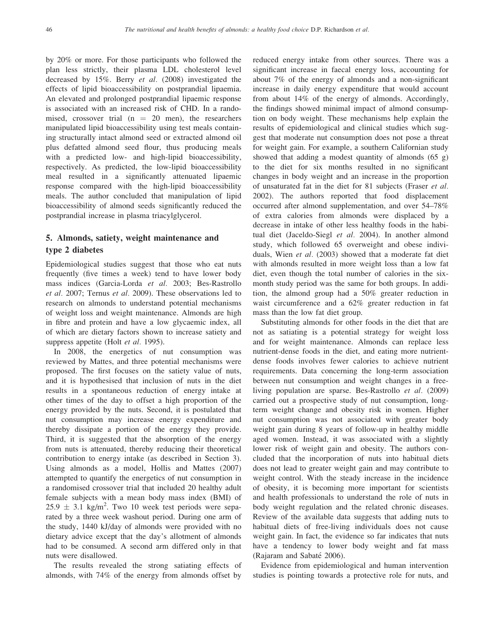by 20% or more. For those participants who followed the plan less strictly, their plasma LDL cholesterol level decreased by 15%. Berry et al. (2008) investigated the effects of lipid bioaccessibility on postprandial lipaemia. An elevated and prolonged postprandial lipaemic response is associated with an increased risk of CHD. In a randomised, crossover trial  $(n = 20$  men), the researchers manipulated lipid bioaccessibility using test meals containing structurally intact almond seed or extracted almond oil plus defatted almond seed flour, thus producing meals with a predicted low- and high-lipid bioaccessibility, respectively. As predicted, the low-lipid bioaccessibility meal resulted in a significantly attenuated lipaemic response compared with the high-lipid bioaccessibility meals. The author concluded that manipulation of lipid bioaccessibility of almond seeds significantly reduced the postprandial increase in plasma triacylglycerol.

# 5. Almonds, satiety, weight maintenance and type 2 diabetes

Epidemiological studies suggest that those who eat nuts frequently (five times a week) tend to have lower body mass indices (Garcia-Lorda et al. 2003; Bes-Rastrollo et al. 2007; Ternus et al. 2009). These observations led to research on almonds to understand potential mechanisms of weight loss and weight maintenance. Almonds are high in fibre and protein and have a low glycaemic index, all of which are dietary factors shown to increase satiety and suppress appetite (Holt et al. 1995).

In 2008, the energetics of nut consumption was reviewed by Mattes, and three potential mechanisms were proposed. The first focuses on the satiety value of nuts, and it is hypothesised that inclusion of nuts in the diet results in a spontaneous reduction of energy intake at other times of the day to offset a high proportion of the energy provided by the nuts. Second, it is postulated that nut consumption may increase energy expenditure and thereby dissipate a portion of the energy they provide. Third, it is suggested that the absorption of the energy from nuts is attenuated, thereby reducing their theoretical contribution to energy intake (as described in Section 3). Using almonds as a model, Hollis and Mattes (2007) attempted to quantify the energetics of nut consumption in a randomised crossover trial that included 20 healthy adult female subjects with a mean body mass index (BMI) of  $25.9 \pm 3.1$  kg/m<sup>2</sup>. Two 10 week test periods were separated by a three week washout period. During one arm of the study, 1440 kJ/day of almonds were provided with no dietary advice except that the day's allotment of almonds had to be consumed. A second arm differed only in that nuts were disallowed.

The results revealed the strong satiating effects of almonds, with 74% of the energy from almonds offset by

reduced energy intake from other sources. There was a significant increase in faecal energy loss, accounting for about 7% of the energy of almonds and a non-significant increase in daily energy expenditure that would account from about 14% of the energy of almonds. Accordingly, the findings showed minimal impact of almond consumption on body weight. These mechanisms help explain the results of epidemiological and clinical studies which suggest that moderate nut consumption does not pose a threat for weight gain. For example, a southern Californian study showed that adding a modest quantity of almonds (65 g) to the diet for six months resulted in no significant changes in body weight and an increase in the proportion of unsaturated fat in the diet for 81 subjects (Fraser et al. 2002). The authors reported that food displacement occurred after almond supplementation, and over 54–78% of extra calories from almonds were displaced by a decrease in intake of other less healthy foods in the habitual diet (Jaceldo-Siegl et al. 2004). In another almond study, which followed 65 overweight and obese individuals, Wien et al. (2003) showed that a moderate fat diet with almonds resulted in more weight loss than a low fat diet, even though the total number of calories in the sixmonth study period was the same for both groups. In addition, the almond group had a 50% greater reduction in waist circumference and a 62% greater reduction in fat mass than the low fat diet group.

Substituting almonds for other foods in the diet that are not as satiating is a potential strategy for weight loss and for weight maintenance. Almonds can replace less nutrient-dense foods in the diet, and eating more nutrientdense foods involves fewer calories to achieve nutrient requirements. Data concerning the long-term association between nut consumption and weight changes in a freeliving population are sparse. Bes-Rastrollo et al. (2009) carried out a prospective study of nut consumption, longterm weight change and obesity risk in women. Higher nut consumption was not associated with greater body weight gain during 8 years of follow-up in healthy middle aged women. Instead, it was associated with a slightly lower risk of weight gain and obesity. The authors concluded that the incorporation of nuts into habitual diets does not lead to greater weight gain and may contribute to weight control. With the steady increase in the incidence of obesity, it is becoming more important for scientists and health professionals to understand the role of nuts in body weight regulation and the related chronic diseases. Review of the available data suggests that adding nuts to habitual diets of free-living individuals does not cause weight gain. In fact, the evidence so far indicates that nuts have a tendency to lower body weight and fat mass (Rajaram and Sabaté 2006).

Evidence from epidemiological and human intervention studies is pointing towards a protective role for nuts, and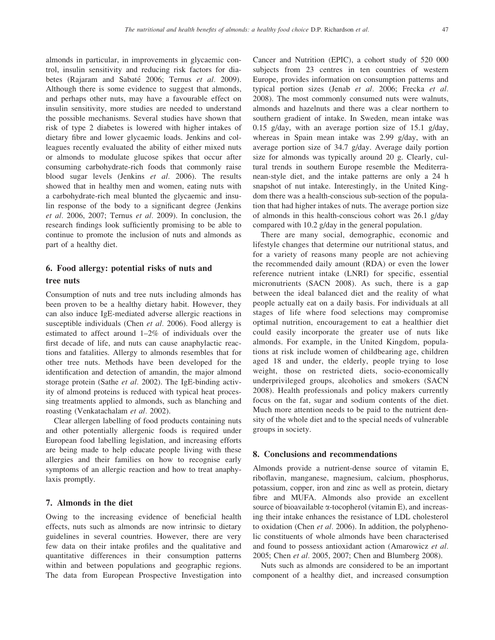almonds in particular, in improvements in glycaemic control, insulin sensitivity and reducing risk factors for diabetes (Rajaram and Sabaté 2006; Ternus et al. 2009). Although there is some evidence to suggest that almonds, and perhaps other nuts, may have a favourable effect on insulin sensitivity, more studies are needed to understand the possible mechanisms. Several studies have shown that risk of type 2 diabetes is lowered with higher intakes of dietary fibre and lower glycaemic loads. Jenkins and colleagues recently evaluated the ability of either mixed nuts or almonds to modulate glucose spikes that occur after consuming carbohydrate-rich foods that commonly raise blood sugar levels (Jenkins et al. 2006). The results showed that in healthy men and women, eating nuts with a carbohydrate-rich meal blunted the glycaemic and insulin response of the body to a significant degree (Jenkins et al. 2006, 2007; Ternus et al. 2009). In conclusion, the research findings look sufficiently promising to be able to continue to promote the inclusion of nuts and almonds as part of a healthy diet.

# 6. Food allergy: potential risks of nuts and tree nuts

Consumption of nuts and tree nuts including almonds has been proven to be a healthy dietary habit. However, they can also induce IgE-mediated adverse allergic reactions in susceptible individuals (Chen et al. 2006). Food allergy is estimated to affect around 1–2% of individuals over the first decade of life, and nuts can cause anaphylactic reactions and fatalities. Allergy to almonds resembles that for other tree nuts. Methods have been developed for the identification and detection of amandin, the major almond storage protein (Sathe et al. 2002). The IgE-binding activity of almond proteins is reduced with typical heat processing treatments applied to almonds, such as blanching and roasting (Venkatachalam *et al.* 2002).

Clear allergen labelling of food products containing nuts and other potentially allergenic foods is required under European food labelling legislation, and increasing efforts are being made to help educate people living with these allergies and their families on how to recognise early symptoms of an allergic reaction and how to treat anaphylaxis promptly.

#### 7. Almonds in the diet

Owing to the increasing evidence of beneficial health effects, nuts such as almonds are now intrinsic to dietary guidelines in several countries. However, there are very few data on their intake profiles and the qualitative and quantitative differences in their consumption patterns within and between populations and geographic regions. The data from European Prospective Investigation into Cancer and Nutrition (EPIC), a cohort study of 520 000 subjects from 23 centres in ten countries of western Europe, provides information on consumption patterns and typical portion sizes (Jenab et al. 2006; Frecka et al. 2008). The most commonly consumed nuts were walnuts, almonds and hazelnuts and there was a clear northern to southern gradient of intake. In Sweden, mean intake was 0.15 g/day, with an average portion size of 15.1 g/day, whereas in Spain mean intake was 2.99 g/day, with an average portion size of 34.7 g/day. Average daily portion size for almonds was typically around 20 g. Clearly, cultural trends in southern Europe resemble the Mediterranean-style diet, and the intake patterns are only a 24 h snapshot of nut intake. Interestingly, in the United Kingdom there was a health-conscious sub-section of the population that had higher intakes of nuts. The average portion size of almonds in this health-conscious cohort was 26.1 g/day compared with 10.2 g/day in the general population.

There are many social, demographic, economic and lifestyle changes that determine our nutritional status, and for a variety of reasons many people are not achieving the recommended daily amount (RDA) or even the lower reference nutrient intake (LNRI) for specific, essential micronutrients (SACN 2008). As such, there is a gap between the ideal balanced diet and the reality of what people actually eat on a daily basis. For individuals at all stages of life where food selections may compromise optimal nutrition, encouragement to eat a healthier diet could easily incorporate the greater use of nuts like almonds. For example, in the United Kingdom, populations at risk include women of childbearing age, children aged 18 and under, the elderly, people trying to lose weight, those on restricted diets, socio-economically underprivileged groups, alcoholics and smokers (SACN 2008). Health professionals and policy makers currently focus on the fat, sugar and sodium contents of the diet. Much more attention needs to be paid to the nutrient density of the whole diet and to the special needs of vulnerable groups in society.

#### 8. Conclusions and recommendations

Almonds provide a nutrient-dense source of vitamin E, riboflavin, manganese, magnesium, calcium, phosphorus, potassium, copper, iron and zinc as well as protein, dietary fibre and MUFA. Almonds also provide an excellent source of bioavailable  $\alpha$ -tocopherol (vitamin E), and increasing their intake enhances the resistance of LDL cholesterol to oxidation (Chen *et al.* 2006). In addition, the polyphenolic constituents of whole almonds have been characterised and found to possess antioxidant action (Amarowicz et al. 2005; Chen et al. 2005, 2007; Chen and Blumberg 2008).

Nuts such as almonds are considered to be an important component of a healthy diet, and increased consumption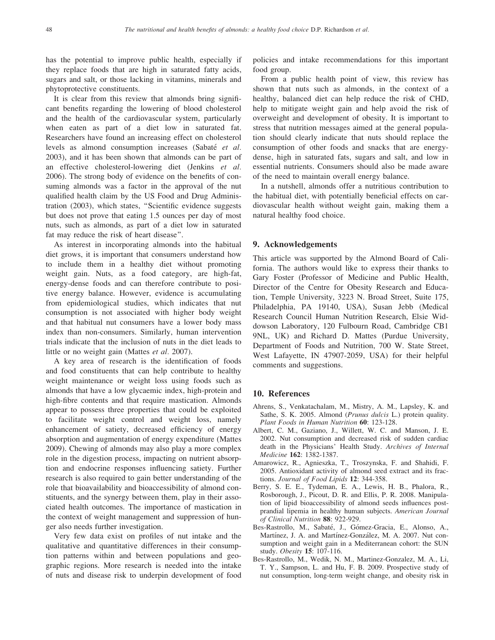has the potential to improve public health, especially if they replace foods that are high in saturated fatty acids, sugars and salt, or those lacking in vitamins, minerals and phytoprotective constituents.

It is clear from this review that almonds bring significant benefits regarding the lowering of blood cholesterol and the health of the cardiovascular system, particularly when eaten as part of a diet low in saturated fat. Researchers have found an increasing effect on cholesterol levels as almond consumption increases (Sabaté et al. 2003), and it has been shown that almonds can be part of an effective cholesterol-lowering diet (Jenkins et al. 2006). The strong body of evidence on the benefits of consuming almonds was a factor in the approval of the nut qualified health claim by the US Food and Drug Administration (2003), which states, ''Scientific evidence suggests but does not prove that eating 1.5 ounces per day of most nuts, such as almonds, as part of a diet low in saturated fat may reduce the risk of heart disease''.

As interest in incorporating almonds into the habitual diet grows, it is important that consumers understand how to include them in a healthy diet without promoting weight gain. Nuts, as a food category, are high-fat, energy-dense foods and can therefore contribute to positive energy balance. However, evidence is accumulating from epidemiological studies, which indicates that nut consumption is not associated with higher body weight and that habitual nut consumers have a lower body mass index than non-consumers. Similarly, human intervention trials indicate that the inclusion of nuts in the diet leads to little or no weight gain (Mattes et al. 2007).

A key area of research is the identification of foods and food constituents that can help contribute to healthy weight maintenance or weight loss using foods such as almonds that have a low glycaemic index, high-protein and high-fibre contents and that require mastication. Almonds appear to possess three properties that could be exploited to facilitate weight control and weight loss, namely enhancement of satiety, decreased efficiency of energy absorption and augmentation of energy expenditure (Mattes 2009). Chewing of almonds may also play a more complex role in the digestion process, impacting on nutrient absorption and endocrine responses influencing satiety. Further research is also required to gain better understanding of the role that bioavailability and bioaccessibility of almond constituents, and the synergy between them, play in their associated health outcomes. The importance of mastication in the context of weight management and suppression of hunger also needs further investigation.

Very few data exist on profiles of nut intake and the qualitative and quantitative differences in their consumption patterns within and between populations and geographic regions. More research is needed into the intake of nuts and disease risk to underpin development of food policies and intake recommendations for this important food group.

From a public health point of view, this review has shown that nuts such as almonds, in the context of a healthy, balanced diet can help reduce the risk of CHD, help to mitigate weight gain and help avoid the risk of overweight and development of obesity. It is important to stress that nutrition messages aimed at the general population should clearly indicate that nuts should replace the consumption of other foods and snacks that are energydense, high in saturated fats, sugars and salt, and low in essential nutrients. Consumers should also be made aware of the need to maintain overall energy balance.

In a nutshell, almonds offer a nutritious contribution to the habitual diet, with potentially beneficial effects on cardiovascular health without weight gain, making them a natural healthy food choice.

#### 9. Acknowledgements

This article was supported by the Almond Board of California. The authors would like to express their thanks to Gary Foster (Professor of Medicine and Public Health, Director of the Centre for Obesity Research and Education, Temple University, 3223 N. Broad Street, Suite 175, Philadelphia, PA 19140, USA), Susan Jebb (Medical Research Council Human Nutrition Research, Elsie Widdowson Laboratory, 120 Fulbourn Road, Cambridge CB1 9NL, UK) and Richard D. Mattes (Purdue University, Department of Foods and Nutrition, 700 W. State Street, West Lafayette, IN 47907-2059, USA) for their helpful comments and suggestions.

#### 10. References

- Ahrens, S., Venkatachalam, M., Mistry, A. M., Lapsley, K. and Sathe, S. K. 2005. Almond (Prunus dulcis L.) protein quality. Plant Foods in Human Nutrition 60: 123-128.
- Albert, C. M., Gaziano, J., Willett, W. C. and Manson, J. E. 2002. Nut consumption and decreased risk of sudden cardiac death in the Physicians' Health Study. Archives of Internal Medicine 162: 1382-1387.
- Amarowicz, R., Agnieszka, T., Troszynska, F. and Shahidi, F. 2005. Antioxidant activity of almond seed extract and its fractions. Journal of Food Lipids 12: 344-358.
- Berry, S. E. E., Tydeman, E. A., Lewis, H. B., Phalora, R., Rosborough, J., Picout, D. R. and Ellis, P. R. 2008. Manipulation of lipid bioaccessibility of almond seeds influences postprandial lipemia in healthy human subjects. American Journal of Clinical Nutrition 88: 922-929.
- Bes-Rastrollo, M., Sabaté, J., Gómez-Gracia, E., Alonso, A., Martínez, J. A. and Martínez-González, M. A. 2007. Nut consumption and weight gain in a Mediterranean cohort: the SUN study. Obesity 15: 107-116.
- Bes-Rastrollo, M., Wedik, N. M., Martinez-Gonzalez, M. A., Li, T. Y., Sampson, L. and Hu, F. B. 2009. Prospective study of nut consumption, long-term weight change, and obesity risk in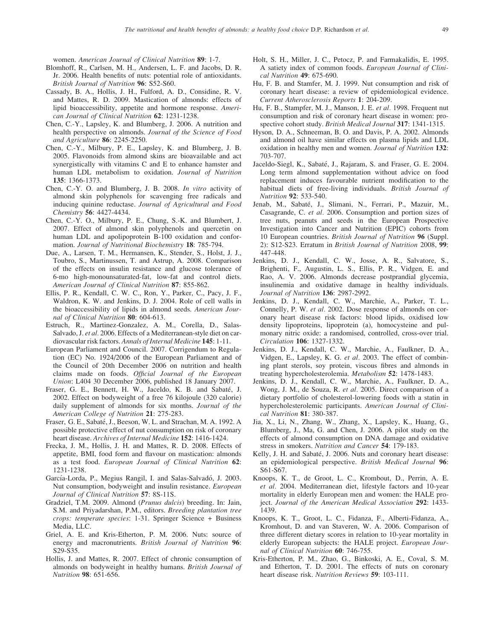women. American Journal of Clinical Nutrition 89: 1-7.

- Blomhoff, R., Carlsen, M. H., Andersen, L. F. and Jacobs, D. R. Jr. 2006. Health benefits of nuts: potential role of antioxidants. British Journal of Nutrition 96: S52-S60.
- Cassady, B. A., Hollis, J. H., Fulford, A. D., Considine, R. V. and Mattes, R. D. 2009. Mastication of almonds: effects of lipid bioaccessibility, appetite and hormone response. American Journal of Clinical Nutrition 62: 1231-1238.
- Chen, C.-Y., Lapsley, K. and Blumberg, J. 2006. A nutrition and health perspective on almonds. Journal of the Science of Food and Agriculture 86: 2245-2250.
- Chen, C.-Y., Milbury, P. E., Lapsley, K. and Blumberg, J. B. 2005. Flavonoids from almond skins are bioavailable and act synergistically with vitamins C and E to enhance hamster and human LDL metabolism to oxidation. Journal of Nutrition 135: 1366-1373.
- Chen, C.-Y. O. and Blumberg, J. B. 2008. In vitro activity of almond skin polyphenols for scavenging free radicals and inducing quinine reductase. Journal of Agricultural and Food Chemistry 56: 4427-4434.
- Chen, C.-Y. O., Milbury, P. E., Chung, S.-K. and Blumbert, J. 2007. Effect of almond skin polyphenols and quercetin on human LDL and apolipoprotein B-100 oxidation and conformation. Journal of Nutritional Biochemistry 18: 785-794.
- Due, A., Larsen, T. M., Hermansen, K., Stender, S., Holst, J. J., Toubro, S., Martinussen, T. and Astrup, A. 2008. Comparison of the effects on insulin resistance and glucose tolerance of 6-mo high-monounsaturated-fat, low-fat and control diets. American Journal of Clinical Nutrition 87: 855-862.
- Ellis, P. R., Kendall, C. W. C., Ron, Y., Parker, C., Pacy, J. F., Waldron, K. W. and Jenkins, D. J. 2004. Role of cell walls in the bioaccessibility of lipids in almond seeds. American Journal of Clinical Nutrition 80: 604-613.
- Estruch, R., Martinez-Gonzalez, A. M., Corella, D., Salas-Salvado, J. et al. 2006. Effects of a Mediterranean-style diet on cardiovascular risk factors. Annals of Internal Medicine 145: 1-11.
- European Parliament and Council. 2007. Corrigendum to Regulation (EC) No. 1924/2006 of the European Parliament and of the Council of 20th December 2006 on nutrition and health claims made on foods. Official Journal of the European Union: L404 30 December 2006, published 18 January 2007.
- Fraser, G. E., Bennett, H. W., Jaceldo, K. B. and Sabaté, J. 2002. Effect on bodyweight of a free 76 kilojoule (320 calorie) daily supplement of almonds for six months. Journal of the American College of Nutrition 21: 275-283.
- Fraser, G. E., Sabaté, J., Beeson, W. L. and Strachan, M. A. 1992. A possible protective effect of nut consumption on risk of coronary heart disease. Archives of Internal Medicine 152: 1416-1424.
- Frecka, J. M., Hollis, J. H. and Mattes, R. D. 2008. Effects of appetite, BMI, food form and flavour on mastication: almonds as a test food. European Journal of Clinical Nutrition 62: 1231-1238.
- García-Lorda, P., Megius Rangil, I. and Salas-Salvadó, J. 2003. Nut consumption, bodyweight and insulin resistance. European Journal of Clinical Nutrition 57: 8S-11S.
- Gradziel, T.M. 2009. Almond (Prunus dulcis) breeding. In: Jain, S.M. and Priyadarshan, P.M., editors. Breeding plantation tree crops: temperate species: 1-31. Springer Science + Business Media, LLC.
- Griel, A. E. and Kris-Etherton, P. M. 2006. Nuts: source of energy and macronutrients. British Journal of Nutrition 96: S29-S35.
- Hollis, J. and Mattes, R. 2007. Effect of chronic consumption of almonds on bodyweight in healthy humans. British Journal of Nutrition 98: 651-656.
- Holt, S. H., Miller, J. C., Petocz, P. and Farmakalidis, E. 1995. A satiety index of common foods. European Journal of Clinical Nutrition 49: 675-690.
- Hu, F. B. and Stamfer, M. J. 1999. Nut consumption and risk of coronary heart disease: a review of epidemiological evidence. Current Atherosclerosis Reports 1: 204-209.
- Hu, F. B., Stampfer, M. J., Manson, J. E. et al. 1998. Frequent nut consumption and risk of coronary heart disease in women: prospective cohort study. British Medical Journal 317: 1341-1315.
- Hyson, D. A., Schneeman, B. O. and Davis, P. A. 2002. Almonds and almond oil have similar effects on plasma lipids and LDL oxidation in healthy men and women. Journal of Nutrition 132: 703-707.
- Jaceldo-Siegl, K., Sabaté, J., Rajaram, S. and Fraser, G. E. 2004. Long term almond supplementation without advice on food replacement induces favourable nutrient modification to the habitual diets of free-living individuals. British Journal of Nutrition 92: 533-540.
- Jenab, M., Sabaté, J., Slimani, N., Ferrari, P., Mazuir, M., Casagrande, C. et al. 2006. Consumption and portion sizes of tree nuts, peanuts and seeds in the European Prospective Investigation into Cancer and Nutrition (EPIC) cohorts from 10 European countries. British Journal of Nutrition 96 (Suppl. 2): S12-S23. Erratum in British Journal of Nutrition 2008, 99: 447-448.
- Jenkins, D. J., Kendall, C. W., Josse, A. R., Salvatore, S., Brighenti, F., Augustin, L. S., Ellis, P. R., Vidgen, E. and Rao, A. V. 2006. Almonds decrease postprandial glycemia, insulinemia and oxidative damage in healthy individuals. Journal of Nutrition 136: 2987-2992.
- Jenkins, D. J., Kendall, C. W., Marchie, A., Parker, T. L., Connelly, P. W. et al. 2002. Dose response of almonds on coronary heart disease risk factors: blood lipids, oxidised low density lipoproteins, lipoprotein (a), homocysteine and pulmonary nitric oxide: a randomised, controlled, cross-over trial. Circulation 106: 1327-1332.
- Jenkins, D. J., Kendall, C. W., Marchie, A., Faulkner, D. A., Vidgen, E., Lapsley, K. G. *et al.* 2003. The effect of combining plant sterols, soy protein, viscous fibres and almonds in treating hypercholesterolemia. Metabolism 52: 1478-1483.
- Jenkins, D. J., Kendall, C. W., Marchie, A., Faulkner, D. A., Wong, J. M., de Souza, R. et al. 2005. Direct comparison of a dietary portfolio of cholesterol-lowering foods with a statin in hypercholesterolemic participants. American Journal of Clinical Nutrition 81: 380-387.
- Jia, X., Li, N., Zhang, W., Zhang, X., Lapsley, K., Huang, G., Blumberg, J., Ma, G. and Chen, J. 2006. A pilot study on the effects of almond consumption on DNA damage and oxidative stress in smokers. Nutrition and Cancer 54: 179-183.
- Kelly, J. H. and Sabaté, J. 2006. Nuts and coronary heart disease: an epidemiological perspective. British Medical Journal 96: S61-S67.
- Knoops, K. T., de Groot, L. C., Krombout, D., Perrin, A. E. et al. 2004. Mediterranean diet, lifestyle factors and 10-year mortality in elderly European men and women: the HALE project. Journal of the American Medical Association 292: 1433- 1439.
- Knoops, K. T., Groot, L. C., Fidanza, F., Alberti-Fidanza, A., Kromhout, D. and van Staveren, W. A. 2006. Comparison of three different dietary scores in relation to 10-year mortality in elderly European subjects: the HALE project. European Journal of Clinical Nutrition 60: 746-755.
- Kris-Etherton, P. M., Zhao, G., Binkoski, A. E., Coval, S. M. and Etherton, T. D. 2001. The effects of nuts on coronary heart disease risk. Nutrition Reviews **59**: 103-111.